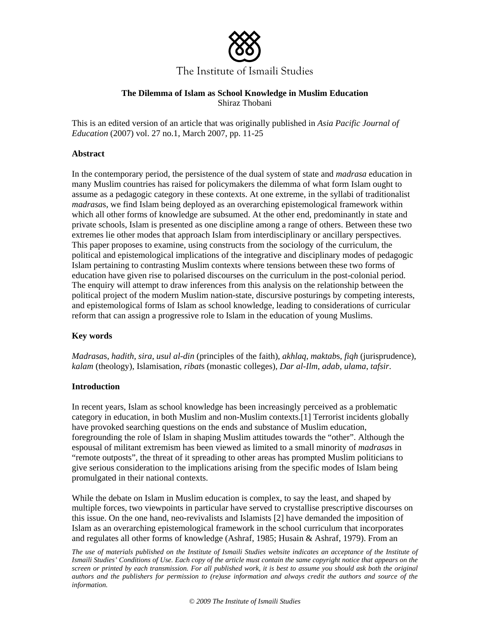

# **The Dilemma of Islam as School Knowledge in Muslim Education**

Shiraz Thobani

This is an edited version of an article that was originally published in *Asia Pacific Journal of Education* (2007) vol. 27 no.1, March 2007, pp. 11-25

## **Abstract**

In the contemporary period, the persistence of the dual system of state and *madrasa* education in many Muslim countries has raised for policymakers the dilemma of what form Islam ought to assume as a pedagogic category in these contexts. At one extreme, in the syllabi of traditionalist *madrasa*s, we find Islam being deployed as an overarching epistemological framework within which all other forms of knowledge are subsumed. At the other end, predominantly in state and private schools, Islam is presented as one discipline among a range of others. Between these two extremes lie other modes that approach Islam from interdisciplinary or ancillary perspectives. This paper proposes to examine, using constructs from the sociology of the curriculum, the political and epistemological implications of the integrative and disciplinary modes of pedagogic Islam pertaining to contrasting Muslim contexts where tensions between these two forms of education have given rise to polarised discourses on the curriculum in the post-colonial period. The enquiry will attempt to draw inferences from this analysis on the relationship between the political project of the modern Muslim nation-state, discursive posturings by competing interests, and epistemological forms of Islam as school knowledge, leading to considerations of curricular reform that can assign a progressive role to Islam in the education of young Muslims.

#### **Key words**

*Madrasa*s, *hadith*, *sira*, *usul al-din* (principles of the faith), *akhlaq*, *maktab*s, *fiqh* (jurisprudence), *kalam* (theology), Islamisation, *ribat*s (monastic colleges), *Dar al-Ilm*, *adab*, *ulama*, *tafsir*.

#### **Introduction**

In recent years, Islam as school knowledge has been increasingly perceived as a problematic category in education, in both Muslim and non-Muslim contexts.[1] Terrorist incidents globally have provoked searching questions on the ends and substance of Muslim education, foregrounding the role of Islam in shaping Muslim attitudes towards the "other". Although the espousal of militant extremism has been viewed as limited to a small minority of *madrasa*s in "remote outposts", the threat of it spreading to other areas has prompted Muslim politicians to give serious consideration to the implications arising from the specific modes of Islam being promulgated in their national contexts.

While the debate on Islam in Muslim education is complex, to say the least, and shaped by multiple forces, two viewpoints in particular have served to crystallise prescriptive discourses on this issue. On the one hand, neo-revivalists and Islamists [2] have demanded the imposition of Islam as an overarching epistemological framework in the school curriculum that incorporates and regulates all other forms of knowledge (Ashraf, 1985; Husain & Ashraf, 1979). From an

The use of materials published on the Institute of Ismaili Studies website indicates an acceptance of the Institute of *Ismaili Studies' Conditions of Use. Each copy of the article must contain the same copyright notice that appears on the screen or printed by each transmission. For all published work, it is best to assume you should ask both the original authors and the publishers for permission to (re)use information and always credit the authors and source of the information.*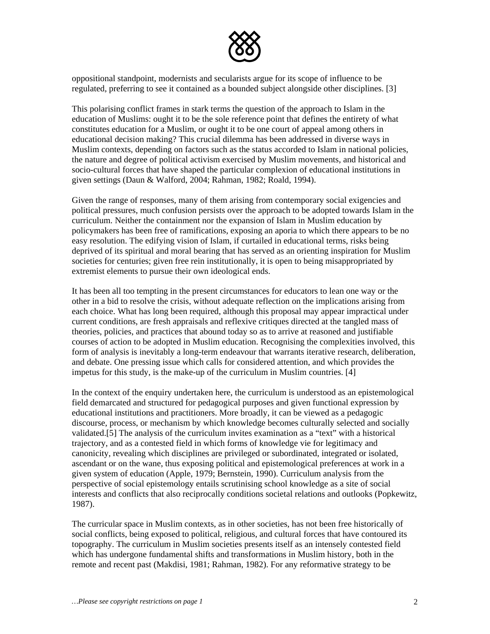

oppositional standpoint, modernists and secularists argue for its scope of influence to be regulated, preferring to see it contained as a bounded subject alongside other disciplines. [3]

This polarising conflict frames in stark terms the question of the approach to Islam in the education of Muslims: ought it to be the sole reference point that defines the entirety of what constitutes education for a Muslim, or ought it to be one court of appeal among others in educational decision making? This crucial dilemma has been addressed in diverse ways in Muslim contexts, depending on factors such as the status accorded to Islam in national policies, the nature and degree of political activism exercised by Muslim movements, and historical and socio-cultural forces that have shaped the particular complexion of educational institutions in given settings (Daun & Walford, 2004; Rahman, 1982; Roald, 1994).

Given the range of responses, many of them arising from contemporary social exigencies and political pressures, much confusion persists over the approach to be adopted towards Islam in the curriculum. Neither the containment nor the expansion of Islam in Muslim education by policymakers has been free of ramifications, exposing an aporia to which there appears to be no easy resolution. The edifying vision of Islam, if curtailed in educational terms, risks being deprived of its spiritual and moral bearing that has served as an orienting inspiration for Muslim societies for centuries; given free rein institutionally, it is open to being misappropriated by extremist elements to pursue their own ideological ends.

It has been all too tempting in the present circumstances for educators to lean one way or the other in a bid to resolve the crisis, without adequate reflection on the implications arising from each choice. What has long been required, although this proposal may appear impractical under current conditions, are fresh appraisals and reflexive critiques directed at the tangled mass of theories, policies, and practices that abound today so as to arrive at reasoned and justifiable courses of action to be adopted in Muslim education. Recognising the complexities involved, this form of analysis is inevitably a long-term endeavour that warrants iterative research, deliberation, and debate. One pressing issue which calls for considered attention, and which provides the impetus for this study, is the make-up of the curriculum in Muslim countries. [4]

In the context of the enquiry undertaken here, the curriculum is understood as an epistemological field demarcated and structured for pedagogical purposes and given functional expression by educational institutions and practitioners. More broadly, it can be viewed as a pedagogic discourse, process, or mechanism by which knowledge becomes culturally selected and socially validated.[5] The analysis of the curriculum invites examination as a "text" with a historical trajectory, and as a contested field in which forms of knowledge vie for legitimacy and canonicity, revealing which disciplines are privileged or subordinated, integrated or isolated, ascendant or on the wane, thus exposing political and epistemological preferences at work in a given system of education (Apple, 1979; Bernstein, 1990). Curriculum analysis from the perspective of social epistemology entails scrutinising school knowledge as a site of social interests and conflicts that also reciprocally conditions societal relations and outlooks (Popkewitz, 1987).

The curricular space in Muslim contexts, as in other societies, has not been free historically of social conflicts, being exposed to political, religious, and cultural forces that have contoured its topography. The curriculum in Muslim societies presents itself as an intensely contested field which has undergone fundamental shifts and transformations in Muslim history, both in the remote and recent past (Makdisi, 1981; Rahman, 1982). For any reformative strategy to be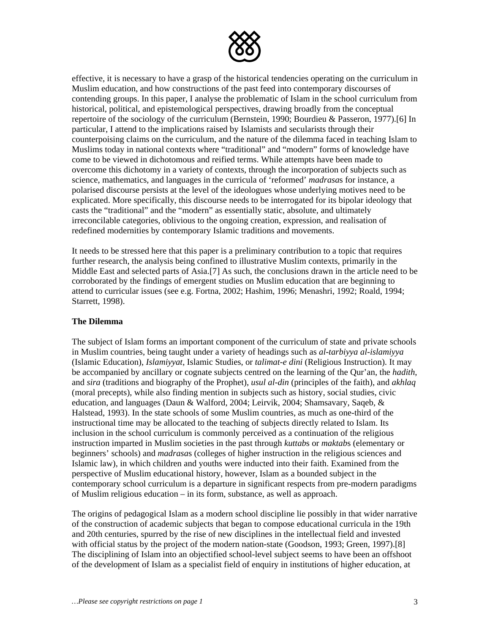

effective, it is necessary to have a grasp of the historical tendencies operating on the curriculum in Muslim education, and how constructions of the past feed into contemporary discourses of contending groups. In this paper, I analyse the problematic of Islam in the school curriculum from historical, political, and epistemological perspectives, drawing broadly from the conceptual repertoire of the sociology of the curriculum (Bernstein, 1990; Bourdieu & Passeron, 1977).[6] In particular, I attend to the implications raised by Islamists and secularists through their counterpoising claims on the curriculum, and the nature of the dilemma faced in teaching Islam to Muslims today in national contexts where "traditional" and "modern" forms of knowledge have come to be viewed in dichotomous and reified terms. While attempts have been made to overcome this dichotomy in a variety of contexts, through the incorporation of subjects such as science, mathematics, and languages in the curricula of 'reformed' *madrasa*s for instance, a polarised discourse persists at the level of the ideologues whose underlying motives need to be explicated. More specifically, this discourse needs to be interrogated for its bipolar ideology that casts the "traditional" and the "modern" as essentially static, absolute, and ultimately irreconcilable categories, oblivious to the ongoing creation, expression, and realisation of redefined modernities by contemporary Islamic traditions and movements.

It needs to be stressed here that this paper is a preliminary contribution to a topic that requires further research, the analysis being confined to illustrative Muslim contexts, primarily in the Middle East and selected parts of Asia.[7] As such, the conclusions drawn in the article need to be corroborated by the findings of emergent studies on Muslim education that are beginning to attend to curricular issues (see e.g. Fortna, 2002; Hashim, 1996; Menashri, 1992; Roald, 1994; Starrett, 1998).

### **The Dilemma**

The subject of Islam forms an important component of the curriculum of state and private schools in Muslim countries, being taught under a variety of headings such as *al-tarbiyya al-islamiyya* (Islamic Education), *Islamiyyat*, Islamic Studies, or *talimat-e dini* (Religious Instruction). It may be accompanied by ancillary or cognate subjects centred on the learning of the Qur'an, the *hadith*, and *sira* (traditions and biography of the Prophet), *usul al-din* (principles of the faith), and *akhlaq* (moral precepts), while also finding mention in subjects such as history, social studies, civic education, and languages (Daun & Walford, 2004; Leirvik, 2004; Shamsavary, Saqeb, & Halstead, 1993). In the state schools of some Muslim countries, as much as one-third of the instructional time may be allocated to the teaching of subjects directly related to Islam. Its inclusion in the school curriculum is commonly perceived as a continuation of the religious instruction imparted in Muslim societies in the past through *kuttab*s or *maktab*s (elementary or beginners' schools) and *madrasa*s (colleges of higher instruction in the religious sciences and Islamic law), in which children and youths were inducted into their faith. Examined from the perspective of Muslim educational history, however, Islam as a bounded subject in the contemporary school curriculum is a departure in significant respects from pre-modern paradigms of Muslim religious education – in its form, substance, as well as approach.

The origins of pedagogical Islam as a modern school discipline lie possibly in that wider narrative of the construction of academic subjects that began to compose educational curricula in the 19th and 20th centuries, spurred by the rise of new disciplines in the intellectual field and invested with official status by the project of the modern nation-state (Goodson, 1993; Green, 1997).[8] The disciplining of Islam into an objectified school-level subject seems to have been an offshoot of the development of Islam as a specialist field of enquiry in institutions of higher education, at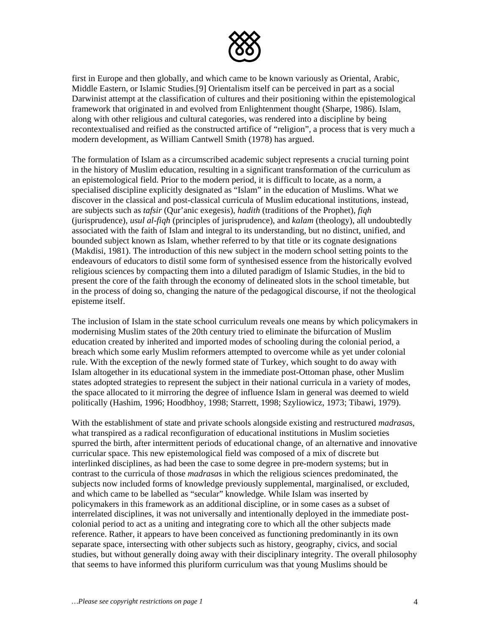

first in Europe and then globally, and which came to be known variously as Oriental, Arabic, Middle Eastern, or Islamic Studies.[9] Orientalism itself can be perceived in part as a social Darwinist attempt at the classification of cultures and their positioning within the epistemological framework that originated in and evolved from Enlightenment thought (Sharpe, 1986). Islam, along with other religious and cultural categories, was rendered into a discipline by being recontextualised and reified as the constructed artifice of "religion", a process that is very much a modern development, as William Cantwell Smith (1978) has argued.

The formulation of Islam as a circumscribed academic subject represents a crucial turning point in the history of Muslim education, resulting in a significant transformation of the curriculum as an epistemological field. Prior to the modern period, it is difficult to locate, as a norm, a specialised discipline explicitly designated as "Islam" in the education of Muslims. What we discover in the classical and post-classical curricula of Muslim educational institutions, instead, are subjects such as *tafsir* (Qur'anic exegesis), *hadith* (traditions of the Prophet), *fiqh* (jurisprudence), *usul al-fiqh* (principles of jurisprudence), and *kalam* (theology), all undoubtedly associated with the faith of Islam and integral to its understanding, but no distinct, unified, and bounded subject known as Islam, whether referred to by that title or its cognate designations (Makdisi, 1981). The introduction of this new subject in the modern school setting points to the endeavours of educators to distil some form of synthesised essence from the historically evolved religious sciences by compacting them into a diluted paradigm of Islamic Studies, in the bid to present the core of the faith through the economy of delineated slots in the school timetable, but in the process of doing so, changing the nature of the pedagogical discourse, if not the theological episteme itself.

The inclusion of Islam in the state school curriculum reveals one means by which policymakers in modernising Muslim states of the 20th century tried to eliminate the bifurcation of Muslim education created by inherited and imported modes of schooling during the colonial period, a breach which some early Muslim reformers attempted to overcome while as yet under colonial rule. With the exception of the newly formed state of Turkey, which sought to do away with Islam altogether in its educational system in the immediate post-Ottoman phase, other Muslim states adopted strategies to represent the subject in their national curricula in a variety of modes, the space allocated to it mirroring the degree of influence Islam in general was deemed to wield politically (Hashim, 1996; Hoodbhoy, 1998; Starrett, 1998; Szyliowicz, 1973; Tibawi, 1979).

With the establishment of state and private schools alongside existing and restructured *madrasa*s, what transpired as a radical reconfiguration of educational institutions in Muslim societies spurred the birth, after intermittent periods of educational change, of an alternative and innovative curricular space. This new epistemological field was composed of a mix of discrete but interlinked disciplines, as had been the case to some degree in pre-modern systems; but in contrast to the curricula of those *madrasa*s in which the religious sciences predominated, the subjects now included forms of knowledge previously supplemental, marginalised, or excluded, and which came to be labelled as "secular" knowledge. While Islam was inserted by policymakers in this framework as an additional discipline, or in some cases as a subset of interrelated disciplines, it was not universally and intentionally deployed in the immediate postcolonial period to act as a uniting and integrating core to which all the other subjects made reference. Rather, it appears to have been conceived as functioning predominantly in its own separate space, intersecting with other subjects such as history, geography, civics, and social studies, but without generally doing away with their disciplinary integrity. The overall philosophy that seems to have informed this pluriform curriculum was that young Muslims should be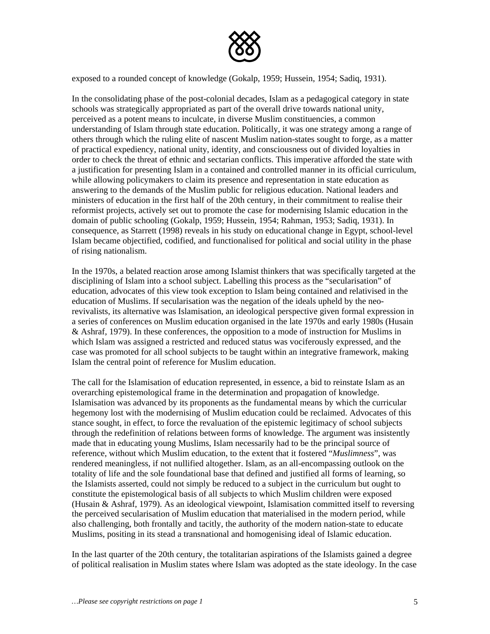

exposed to a rounded concept of knowledge (Gokalp, 1959; Hussein, 1954; Sadiq, 1931).

In the consolidating phase of the post-colonial decades, Islam as a pedagogical category in state schools was strategically appropriated as part of the overall drive towards national unity, perceived as a potent means to inculcate, in diverse Muslim constituencies, a common understanding of Islam through state education. Politically, it was one strategy among a range of others through which the ruling elite of nascent Muslim nation-states sought to forge, as a matter of practical expediency, national unity, identity, and consciousness out of divided loyalties in order to check the threat of ethnic and sectarian conflicts. This imperative afforded the state with a justification for presenting Islam in a contained and controlled manner in its official curriculum, while allowing policymakers to claim its presence and representation in state education as answering to the demands of the Muslim public for religious education. National leaders and ministers of education in the first half of the 20th century, in their commitment to realise their reformist projects, actively set out to promote the case for modernising Islamic education in the domain of public schooling (Gokalp, 1959; Hussein, 1954; Rahman, 1953; Sadiq, 1931). In consequence, as Starrett (1998) reveals in his study on educational change in Egypt, school-level Islam became objectified, codified, and functionalised for political and social utility in the phase of rising nationalism.

In the 1970s, a belated reaction arose among Islamist thinkers that was specifically targeted at the disciplining of Islam into a school subject. Labelling this process as the "secularisation" of education, advocates of this view took exception to Islam being contained and relativised in the education of Muslims. If secularisation was the negation of the ideals upheld by the neorevivalists, its alternative was Islamisation, an ideological perspective given formal expression in a series of conferences on Muslim education organised in the late 1970s and early 1980s (Husain & Ashraf, 1979). In these conferences, the opposition to a mode of instruction for Muslims in which Islam was assigned a restricted and reduced status was vociferously expressed, and the case was promoted for all school subjects to be taught within an integrative framework, making Islam the central point of reference for Muslim education.

The call for the Islamisation of education represented, in essence, a bid to reinstate Islam as an overarching epistemological frame in the determination and propagation of knowledge. Islamisation was advanced by its proponents as the fundamental means by which the curricular hegemony lost with the modernising of Muslim education could be reclaimed. Advocates of this stance sought, in effect, to force the revaluation of the epistemic legitimacy of school subjects through the redefinition of relations between forms of knowledge. The argument was insistently made that in educating young Muslims, Islam necessarily had to be the principal source of reference, without which Muslim education, to the extent that it fostered "*Muslimness*", was rendered meaningless, if not nullified altogether. Islam, as an all-encompassing outlook on the totality of life and the sole foundational base that defined and justified all forms of learning, so the Islamists asserted, could not simply be reduced to a subject in the curriculum but ought to constitute the epistemological basis of all subjects to which Muslim children were exposed (Husain & Ashraf, 1979). As an ideological viewpoint, Islamisation committed itself to reversing the perceived secularisation of Muslim education that materialised in the modern period, while also challenging, both frontally and tacitly, the authority of the modern nation-state to educate Muslims, positing in its stead a transnational and homogenising ideal of Islamic education.

In the last quarter of the 20th century, the totalitarian aspirations of the Islamists gained a degree of political realisation in Muslim states where Islam was adopted as the state ideology. In the case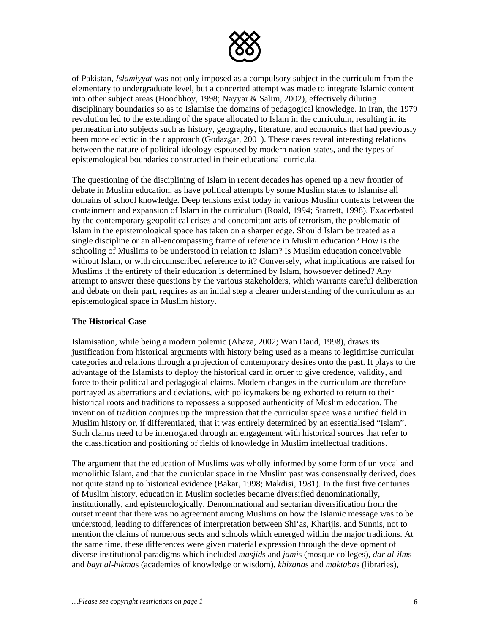

of Pakistan, *Islamiyyat* was not only imposed as a compulsory subject in the curriculum from the elementary to undergraduate level, but a concerted attempt was made to integrate Islamic content into other subject areas (Hoodbhoy, 1998; Nayyar & Salim, 2002), effectively diluting disciplinary boundaries so as to Islamise the domains of pedagogical knowledge. In Iran, the 1979 revolution led to the extending of the space allocated to Islam in the curriculum, resulting in its permeation into subjects such as history, geography, literature, and economics that had previously been more eclectic in their approach (Godazgar, 2001). These cases reveal interesting relations between the nature of political ideology espoused by modern nation-states, and the types of epistemological boundaries constructed in their educational curricula.

The questioning of the disciplining of Islam in recent decades has opened up a new frontier of debate in Muslim education, as have political attempts by some Muslim states to Islamise all domains of school knowledge. Deep tensions exist today in various Muslim contexts between the containment and expansion of Islam in the curriculum (Roald, 1994; Starrett, 1998). Exacerbated by the contemporary geopolitical crises and concomitant acts of terrorism, the problematic of Islam in the epistemological space has taken on a sharper edge. Should Islam be treated as a single discipline or an all-encompassing frame of reference in Muslim education? How is the schooling of Muslims to be understood in relation to Islam? Is Muslim education conceivable without Islam, or with circumscribed reference to it? Conversely, what implications are raised for Muslims if the entirety of their education is determined by Islam, howsoever defined? Any attempt to answer these questions by the various stakeholders, which warrants careful deliberation and debate on their part, requires as an initial step a clearer understanding of the curriculum as an epistemological space in Muslim history.

#### **The Historical Case**

Islamisation, while being a modern polemic (Abaza, 2002; Wan Daud, 1998), draws its justification from historical arguments with history being used as a means to legitimise curricular categories and relations through a projection of contemporary desires onto the past. It plays to the advantage of the Islamists to deploy the historical card in order to give credence, validity, and force to their political and pedagogical claims. Modern changes in the curriculum are therefore portrayed as aberrations and deviations, with policymakers being exhorted to return to their historical roots and traditions to repossess a supposed authenticity of Muslim education. The invention of tradition conjures up the impression that the curricular space was a unified field in Muslim history or, if differentiated, that it was entirely determined by an essentialised "Islam". Such claims need to be interrogated through an engagement with historical sources that refer to the classification and positioning of fields of knowledge in Muslim intellectual traditions.

The argument that the education of Muslims was wholly informed by some form of univocal and monolithic Islam, and that the curricular space in the Muslim past was consensually derived, does not quite stand up to historical evidence (Bakar, 1998; Makdisi, 1981). In the first five centuries of Muslim history, education in Muslim societies became diversified denominationally, institutionally, and epistemologically. Denominational and sectarian diversification from the outset meant that there was no agreement among Muslims on how the Islamic message was to be understood, leading to differences of interpretation between Shi'as, Kharijis, and Sunnis, not to mention the claims of numerous sects and schools which emerged within the major traditions. At the same time, these differences were given material expression through the development of diverse institutional paradigms which included *masjid*s and *jami*s (mosque colleges), *dar al-ilm*s and *bayt al-hikma*s (academies of knowledge or wisdom), *khizana*s and *maktaba*s (libraries),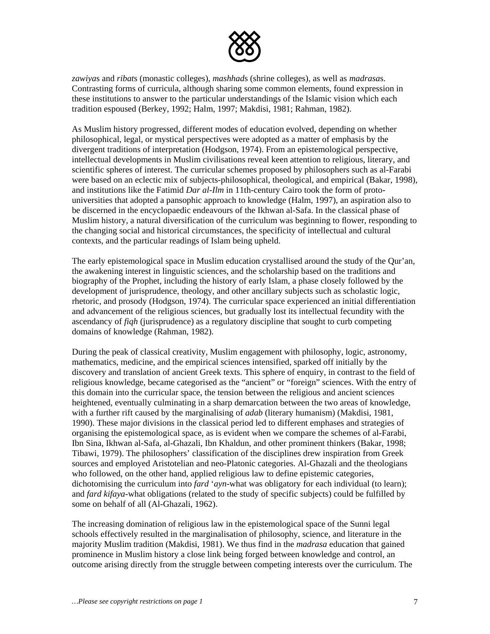

*zawiya*s and *ribat*s (monastic colleges), *mashhad*s (shrine colleges), as well as *madrasa*s. Contrasting forms of curricula, although sharing some common elements, found expression in these institutions to answer to the particular understandings of the Islamic vision which each tradition espoused (Berkey, 1992; Halm, 1997; Makdisi, 1981; Rahman, 1982).

As Muslim history progressed, different modes of education evolved, depending on whether philosophical, legal, or mystical perspectives were adopted as a matter of emphasis by the divergent traditions of interpretation (Hodgson, 1974). From an epistemological perspective, intellectual developments in Muslim civilisations reveal keen attention to religious, literary, and scientific spheres of interest. The curricular schemes proposed by philosophers such as al-Farabi were based on an eclectic mix of subjects-philosophical, theological, and empirical (Bakar, 1998), and institutions like the Fatimid *Dar al-Ilm* in 11th-century Cairo took the form of protouniversities that adopted a pansophic approach to knowledge (Halm, 1997), an aspiration also to be discerned in the encyclopaedic endeavours of the Ikhwan al-Safa. In the classical phase of Muslim history, a natural diversification of the curriculum was beginning to flower, responding to the changing social and historical circumstances, the specificity of intellectual and cultural contexts, and the particular readings of Islam being upheld.

The early epistemological space in Muslim education crystallised around the study of the Qur'an, the awakening interest in linguistic sciences, and the scholarship based on the traditions and biography of the Prophet, including the history of early Islam, a phase closely followed by the development of jurisprudence, theology, and other ancillary subjects such as scholastic logic, rhetoric, and prosody (Hodgson, 1974). The curricular space experienced an initial differentiation and advancement of the religious sciences, but gradually lost its intellectual fecundity with the ascendancy of *fiqh* (jurisprudence) as a regulatory discipline that sought to curb competing domains of knowledge (Rahman, 1982).

During the peak of classical creativity, Muslim engagement with philosophy, logic, astronomy, mathematics, medicine, and the empirical sciences intensified, sparked off initially by the discovery and translation of ancient Greek texts. This sphere of enquiry, in contrast to the field of religious knowledge, became categorised as the "ancient" or "foreign" sciences. With the entry of this domain into the curricular space, the tension between the religious and ancient sciences heightened, eventually culminating in a sharp demarcation between the two areas of knowledge, with a further rift caused by the marginalising of *adab* (literary humanism) (Makdisi, 1981, 1990). These major divisions in the classical period led to different emphases and strategies of organising the epistemological space, as is evident when we compare the schemes of al-Farabi, Ibn Sina, Ikhwan al-Safa, al-Ghazali, Ibn Khaldun, and other prominent thinkers (Bakar, 1998; Tibawi, 1979). The philosophers' classification of the disciplines drew inspiration from Greek sources and employed Aristotelian and neo-Platonic categories. Al-Ghazali and the theologians who followed, on the other hand, applied religious law to define epistemic categories, dichotomising the curriculum into *fard* '*ayn*-what was obligatory for each individual (to learn); and *fard kifaya*-what obligations (related to the study of specific subjects) could be fulfilled by some on behalf of all (Al-Ghazali, 1962).

The increasing domination of religious law in the epistemological space of the Sunni legal schools effectively resulted in the marginalisation of philosophy, science, and literature in the majority Muslim tradition (Makdisi, 1981). We thus find in the *madrasa* education that gained prominence in Muslim history a close link being forged between knowledge and control, an outcome arising directly from the struggle between competing interests over the curriculum. The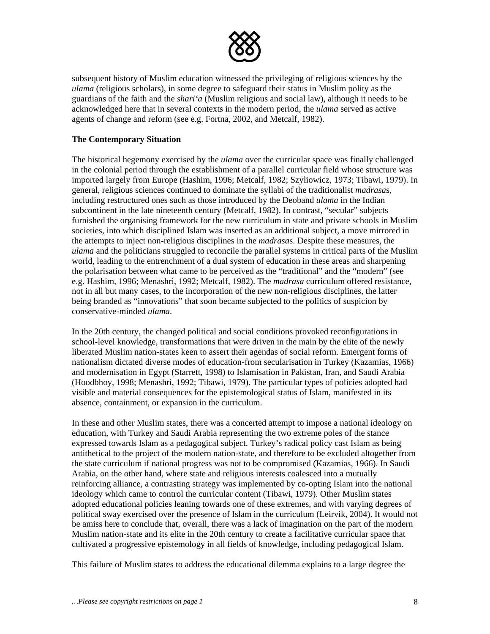

subsequent history of Muslim education witnessed the privileging of religious sciences by the *ulama* (religious scholars), in some degree to safeguard their status in Muslim polity as the guardians of the faith and the *shari'a* (Muslim religious and social law), although it needs to be acknowledged here that in several contexts in the modern period, the *ulama* served as active agents of change and reform (see e.g. Fortna, 2002, and Metcalf, 1982).

#### **The Contemporary Situation**

The historical hegemony exercised by the *ulama* over the curricular space was finally challenged in the colonial period through the establishment of a parallel curricular field whose structure was imported largely from Europe (Hashim, 1996; Metcalf, 1982; Szyliowicz, 1973; Tibawi, 1979). In general, religious sciences continued to dominate the syllabi of the traditionalist *madrasa*s, including restructured ones such as those introduced by the Deoband *ulama* in the Indian subcontinent in the late nineteenth century (Metcalf, 1982). In contrast, "secular" subjects furnished the organising framework for the new curriculum in state and private schools in Muslim societies, into which disciplined Islam was inserted as an additional subject, a move mirrored in the attempts to inject non-religious disciplines in the *madrasa*s. Despite these measures, the *ulama* and the politicians struggled to reconcile the parallel systems in critical parts of the Muslim world, leading to the entrenchment of a dual system of education in these areas and sharpening the polarisation between what came to be perceived as the "traditional" and the "modern" (see e.g. Hashim, 1996; Menashri, 1992; Metcalf, 1982). The *madrasa* curriculum offered resistance, not in all but many cases, to the incorporation of the new non-religious disciplines, the latter being branded as "innovations" that soon became subjected to the politics of suspicion by conservative-minded *ulama*.

In the 20th century, the changed political and social conditions provoked reconfigurations in school-level knowledge, transformations that were driven in the main by the elite of the newly liberated Muslim nation-states keen to assert their agendas of social reform. Emergent forms of nationalism dictated diverse modes of education-from secularisation in Turkey (Kazamias, 1966) and modernisation in Egypt (Starrett, 1998) to Islamisation in Pakistan, Iran, and Saudi Arabia (Hoodbhoy, 1998; Menashri, 1992; Tibawi, 1979). The particular types of policies adopted had visible and material consequences for the epistemological status of Islam, manifested in its absence, containment, or expansion in the curriculum.

In these and other Muslim states, there was a concerted attempt to impose a national ideology on education, with Turkey and Saudi Arabia representing the two extreme poles of the stance expressed towards Islam as a pedagogical subject. Turkey's radical policy cast Islam as being antithetical to the project of the modern nation-state, and therefore to be excluded altogether from the state curriculum if national progress was not to be compromised (Kazamias, 1966). In Saudi Arabia, on the other hand, where state and religious interests coalesced into a mutually reinforcing alliance, a contrasting strategy was implemented by co-opting Islam into the national ideology which came to control the curricular content (Tibawi, 1979). Other Muslim states adopted educational policies leaning towards one of these extremes, and with varying degrees of political sway exercised over the presence of Islam in the curriculum (Leirvik, 2004). It would not be amiss here to conclude that, overall, there was a lack of imagination on the part of the modern Muslim nation-state and its elite in the 20th century to create a facilitative curricular space that cultivated a progressive epistemology in all fields of knowledge, including pedagogical Islam.

This failure of Muslim states to address the educational dilemma explains to a large degree the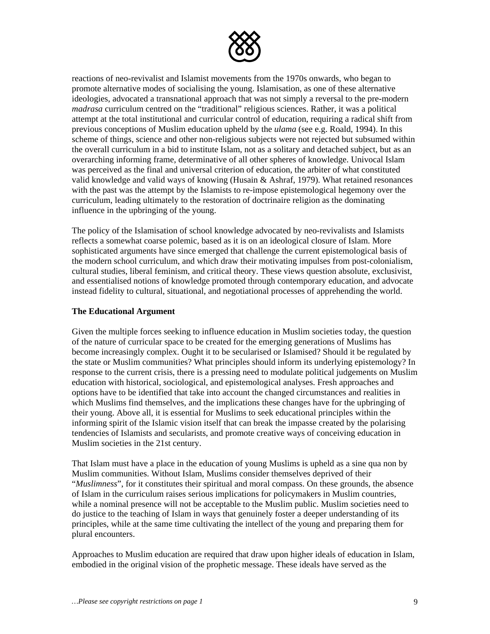

reactions of neo-revivalist and Islamist movements from the 1970s onwards, who began to promote alternative modes of socialising the young. Islamisation, as one of these alternative ideologies, advocated a transnational approach that was not simply a reversal to the pre-modern *madrasa* curriculum centred on the "traditional" religious sciences. Rather, it was a political attempt at the total institutional and curricular control of education, requiring a radical shift from previous conceptions of Muslim education upheld by the *ulama* (see e.g. Roald, 1994). In this scheme of things, science and other non-religious subjects were not rejected but subsumed within the overall curriculum in a bid to institute Islam, not as a solitary and detached subject, but as an overarching informing frame, determinative of all other spheres of knowledge. Univocal Islam was perceived as the final and universal criterion of education, the arbiter of what constituted valid knowledge and valid ways of knowing (Husain & Ashraf, 1979). What retained resonances with the past was the attempt by the Islamists to re-impose epistemological hegemony over the curriculum, leading ultimately to the restoration of doctrinaire religion as the dominating influence in the upbringing of the young.

The policy of the Islamisation of school knowledge advocated by neo-revivalists and Islamists reflects a somewhat coarse polemic, based as it is on an ideological closure of Islam. More sophisticated arguments have since emerged that challenge the current epistemological basis of the modern school curriculum, and which draw their motivating impulses from post-colonialism, cultural studies, liberal feminism, and critical theory. These views question absolute, exclusivist, and essentialised notions of knowledge promoted through contemporary education, and advocate instead fidelity to cultural, situational, and negotiational processes of apprehending the world.

#### **The Educational Argument**

Given the multiple forces seeking to influence education in Muslim societies today, the question of the nature of curricular space to be created for the emerging generations of Muslims has become increasingly complex. Ought it to be secularised or Islamised? Should it be regulated by the state or Muslim communities? What principles should inform its underlying epistemology? In response to the current crisis, there is a pressing need to modulate political judgements on Muslim education with historical, sociological, and epistemological analyses. Fresh approaches and options have to be identified that take into account the changed circumstances and realities in which Muslims find themselves, and the implications these changes have for the upbringing of their young. Above all, it is essential for Muslims to seek educational principles within the informing spirit of the Islamic vision itself that can break the impasse created by the polarising tendencies of Islamists and secularists, and promote creative ways of conceiving education in Muslim societies in the 21st century.

That Islam must have a place in the education of young Muslims is upheld as a sine qua non by Muslim communities. Without Islam, Muslims consider themselves deprived of their "*Muslimness*", for it constitutes their spiritual and moral compass. On these grounds, the absence of Islam in the curriculum raises serious implications for policymakers in Muslim countries, while a nominal presence will not be acceptable to the Muslim public. Muslim societies need to do justice to the teaching of Islam in ways that genuinely foster a deeper understanding of its principles, while at the same time cultivating the intellect of the young and preparing them for plural encounters.

Approaches to Muslim education are required that draw upon higher ideals of education in Islam, embodied in the original vision of the prophetic message. These ideals have served as the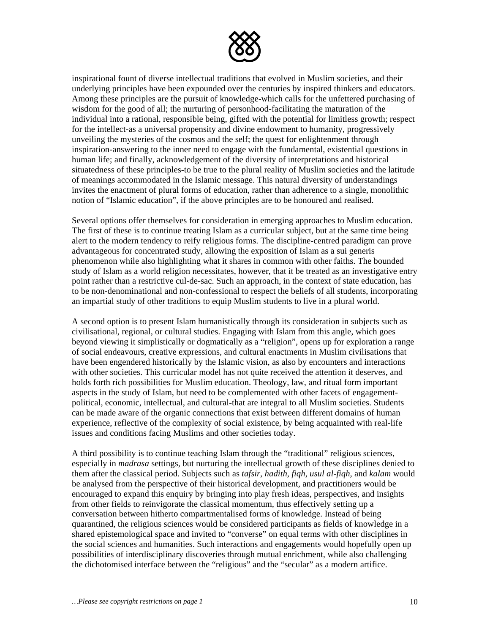

inspirational fount of diverse intellectual traditions that evolved in Muslim societies, and their underlying principles have been expounded over the centuries by inspired thinkers and educators. Among these principles are the pursuit of knowledge-which calls for the unfettered purchasing of wisdom for the good of all; the nurturing of personhood-facilitating the maturation of the individual into a rational, responsible being, gifted with the potential for limitless growth; respect for the intellect-as a universal propensity and divine endowment to humanity, progressively unveiling the mysteries of the cosmos and the self; the quest for enlightenment through inspiration-answering to the inner need to engage with the fundamental, existential questions in human life; and finally, acknowledgement of the diversity of interpretations and historical situatedness of these principles-to be true to the plural reality of Muslim societies and the latitude of meanings accommodated in the Islamic message. This natural diversity of understandings invites the enactment of plural forms of education, rather than adherence to a single, monolithic notion of "Islamic education", if the above principles are to be honoured and realised.

Several options offer themselves for consideration in emerging approaches to Muslim education. The first of these is to continue treating Islam as a curricular subject, but at the same time being alert to the modern tendency to reify religious forms. The discipline-centred paradigm can prove advantageous for concentrated study, allowing the exposition of Islam as a sui generis phenomenon while also highlighting what it shares in common with other faiths. The bounded study of Islam as a world religion necessitates, however, that it be treated as an investigative entry point rather than a restrictive cul-de-sac. Such an approach, in the context of state education, has to be non-denominational and non-confessional to respect the beliefs of all students, incorporating an impartial study of other traditions to equip Muslim students to live in a plural world.

A second option is to present Islam humanistically through its consideration in subjects such as civilisational, regional, or cultural studies. Engaging with Islam from this angle, which goes beyond viewing it simplistically or dogmatically as a "religion", opens up for exploration a range of social endeavours, creative expressions, and cultural enactments in Muslim civilisations that have been engendered historically by the Islamic vision, as also by encounters and interactions with other societies. This curricular model has not quite received the attention it deserves, and holds forth rich possibilities for Muslim education. Theology, law, and ritual form important aspects in the study of Islam, but need to be complemented with other facets of engagementpolitical, economic, intellectual, and cultural-that are integral to all Muslim societies. Students can be made aware of the organic connections that exist between different domains of human experience, reflective of the complexity of social existence, by being acquainted with real-life issues and conditions facing Muslims and other societies today.

A third possibility is to continue teaching Islam through the "traditional" religious sciences, especially in *madrasa* settings, but nurturing the intellectual growth of these disciplines denied to them after the classical period. Subjects such as *tafsir*, *hadith*, *fiqh*, *usul al-fiqh*, and *kalam* would be analysed from the perspective of their historical development, and practitioners would be encouraged to expand this enquiry by bringing into play fresh ideas, perspectives, and insights from other fields to reinvigorate the classical momentum, thus effectively setting up a conversation between hitherto compartmentalised forms of knowledge. Instead of being quarantined, the religious sciences would be considered participants as fields of knowledge in a shared epistemological space and invited to "converse" on equal terms with other disciplines in the social sciences and humanities. Such interactions and engagements would hopefully open up possibilities of interdisciplinary discoveries through mutual enrichment, while also challenging the dichotomised interface between the "religious" and the "secular" as a modern artifice.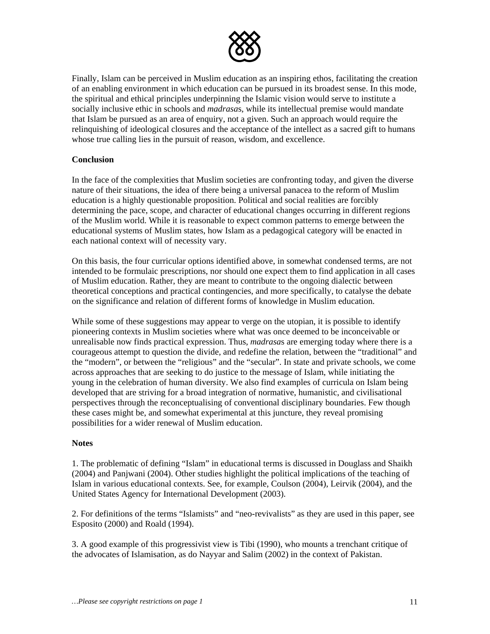

Finally, Islam can be perceived in Muslim education as an inspiring ethos, facilitating the creation of an enabling environment in which education can be pursued in its broadest sense. In this mode, the spiritual and ethical principles underpinning the Islamic vision would serve to institute a socially inclusive ethic in schools and *madrasa*s, while its intellectual premise would mandate that Islam be pursued as an area of enquiry, not a given. Such an approach would require the relinquishing of ideological closures and the acceptance of the intellect as a sacred gift to humans whose true calling lies in the pursuit of reason, wisdom, and excellence.

### **Conclusion**

In the face of the complexities that Muslim societies are confronting today, and given the diverse nature of their situations, the idea of there being a universal panacea to the reform of Muslim education is a highly questionable proposition. Political and social realities are forcibly determining the pace, scope, and character of educational changes occurring in different regions of the Muslim world. While it is reasonable to expect common patterns to emerge between the educational systems of Muslim states, how Islam as a pedagogical category will be enacted in each national context will of necessity vary.

On this basis, the four curricular options identified above, in somewhat condensed terms, are not intended to be formulaic prescriptions, nor should one expect them to find application in all cases of Muslim education. Rather, they are meant to contribute to the ongoing dialectic between theoretical conceptions and practical contingencies, and more specifically, to catalyse the debate on the significance and relation of different forms of knowledge in Muslim education.

While some of these suggestions may appear to verge on the utopian, it is possible to identify pioneering contexts in Muslim societies where what was once deemed to be inconceivable or unrealisable now finds practical expression. Thus, *madrasa*s are emerging today where there is a courageous attempt to question the divide, and redefine the relation, between the "traditional" and the "modern", or between the "religious" and the "secular". In state and private schools, we come across approaches that are seeking to do justice to the message of Islam, while initiating the young in the celebration of human diversity. We also find examples of curricula on Islam being developed that are striving for a broad integration of normative, humanistic, and civilisational perspectives through the reconceptualising of conventional disciplinary boundaries. Few though these cases might be, and somewhat experimental at this juncture, they reveal promising possibilities for a wider renewal of Muslim education.

#### **Notes**

1. The problematic of defining "Islam" in educational terms is discussed in Douglass and Shaikh (2004) and Panjwani (2004). Other studies highlight the political implications of the teaching of Islam in various educational contexts. See, for example, Coulson (2004), Leirvik (2004), and the United States Agency for International Development (2003).

2. For definitions of the terms "Islamists" and "neo-revivalists" as they are used in this paper, see Esposito (2000) and Roald (1994).

3. A good example of this progressivist view is Tibi (1990), who mounts a trenchant critique of the advocates of Islamisation, as do Nayyar and Salim (2002) in the context of Pakistan.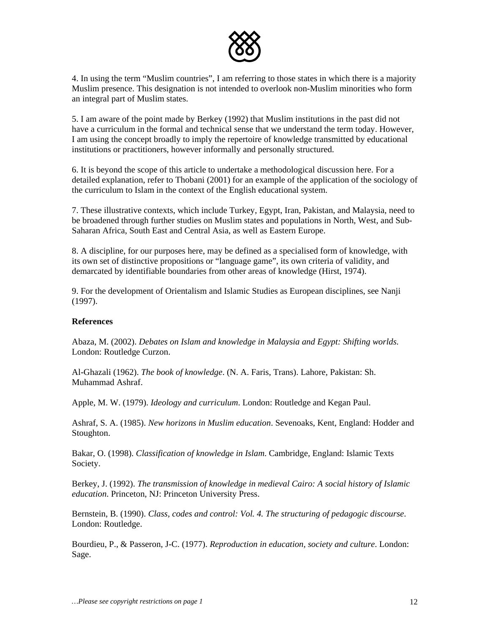

4. In using the term "Muslim countries", I am referring to those states in which there is a majority Muslim presence. This designation is not intended to overlook non-Muslim minorities who form an integral part of Muslim states.

5. I am aware of the point made by Berkey (1992) that Muslim institutions in the past did not have a curriculum in the formal and technical sense that we understand the term today. However, I am using the concept broadly to imply the repertoire of knowledge transmitted by educational institutions or practitioners, however informally and personally structured.

6. It is beyond the scope of this article to undertake a methodological discussion here. For a detailed explanation, refer to Thobani (2001) for an example of the application of the sociology of the curriculum to Islam in the context of the English educational system.

7. These illustrative contexts, which include Turkey, Egypt, Iran, Pakistan, and Malaysia, need to be broadened through further studies on Muslim states and populations in North, West, and Sub-Saharan Africa, South East and Central Asia, as well as Eastern Europe.

8. A discipline, for our purposes here, may be defined as a specialised form of knowledge, with its own set of distinctive propositions or "language game", its own criteria of validity, and demarcated by identifiable boundaries from other areas of knowledge (Hirst, 1974).

9. For the development of Orientalism and Islamic Studies as European disciplines, see Nanji (1997).

#### **References**

Abaza, M. (2002). *Debates on Islam and knowledge in Malaysia and Egypt: Shifting worlds*. London: Routledge Curzon.

Al-Ghazali (1962). *The book of knowledge*. (N. A. Faris, Trans). Lahore, Pakistan: Sh. Muhammad Ashraf.

Apple, M. W. (1979). *Ideology and curriculum*. London: Routledge and Kegan Paul.

Ashraf, S. A. (1985). *New horizons in Muslim education*. Sevenoaks, Kent, England: Hodder and Stoughton.

Bakar, O. (1998). *Classification of knowledge in Islam*. Cambridge, England: Islamic Texts Society.

Berkey, J. (1992). *The transmission of knowledge in medieval Cairo: A social history of Islamic education*. Princeton, NJ: Princeton University Press.

Bernstein, B. (1990). *Class, codes and control: Vol. 4. The structuring of pedagogic discourse*. London: Routledge.

Bourdieu, P., & Passeron, J-C. (1977). *Reproduction in education, society and culture*. London: Sage.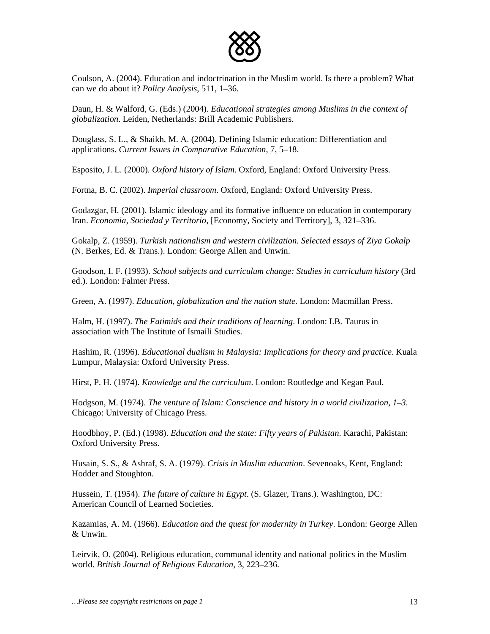

Coulson, A. (2004). Education and indoctrination in the Muslim world. Is there a problem? What can we do about it? *Policy Analysis*, 511, 1–36.

Daun, H. & Walford, G. (Eds.) (2004). *Educational strategies among Muslims in the context of globalization*. Leiden, Netherlands: Brill Academic Publishers.

Douglass, S. L., & Shaikh, M. A. (2004). Defining Islamic education: Differentiation and applications. *Current Issues in Comparative Education*, 7, 5–18.

Esposito, J. L. (2000). *Oxford history of Islam*. Oxford, England: Oxford University Press.

Fortna, B. C. (2002). *Imperial classroom*. Oxford, England: Oxford University Press.

Godazgar, H. (2001). Islamic ideology and its formative influence on education in contemporary Iran. *Economia, Sociedad y Territorio*, [Economy, Society and Territory], 3, 321–336.

Gokalp, Z. (1959). *Turkish nationalism and western civilization. Selected essays of Ziya Gokalp* (N. Berkes, Ed. & Trans.). London: George Allen and Unwin.

Goodson, I. F. (1993). *School subjects and curriculum change: Studies in curriculum history* (3rd ed.). London: Falmer Press.

Green, A. (1997). *Education, globalization and the nation state*. London: Macmillan Press.

Halm, H. (1997). *The Fatimids and their traditions of learning*. London: I.B. Taurus in association with The Institute of Ismaili Studies.

Hashim, R. (1996). *Educational dualism in Malaysia: Implications for theory and practice*. Kuala Lumpur, Malaysia: Oxford University Press.

Hirst, P. H. (1974). *Knowledge and the curriculum*. London: Routledge and Kegan Paul.

Hodgson, M. (1974). *The venture of Islam: Conscience and history in a world civilization, 1–3*. Chicago: University of Chicago Press.

Hoodbhoy, P. (Ed.) (1998). *Education and the state: Fifty years of Pakistan*. Karachi, Pakistan: Oxford University Press.

Husain, S. S., & Ashraf, S. A. (1979). *Crisis in Muslim education*. Sevenoaks, Kent, England: Hodder and Stoughton.

Hussein, T. (1954). *The future of culture in Egypt*. (S. Glazer, Trans.). Washington, DC: American Council of Learned Societies.

Kazamias, A. M. (1966). *Education and the quest for modernity in Turkey*. London: George Allen & Unwin.

Leirvik, O. (2004). Religious education, communal identity and national politics in the Muslim world. *British Journal of Religious Education*, 3, 223–236.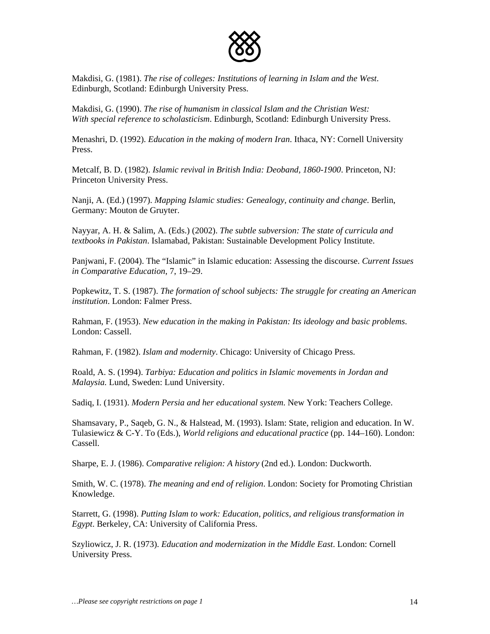

Makdisi, G. (1981). *The rise of colleges: Institutions of learning in Islam and the West*. Edinburgh, Scotland: Edinburgh University Press.

Makdisi, G. (1990). *The rise of humanism in classical Islam and the Christian West: With special reference to scholasticism*. Edinburgh, Scotland: Edinburgh University Press.

Menashri, D. (1992). *Education in the making of modern Iran*. Ithaca, NY: Cornell University Press.

Metcalf, B. D. (1982). *Islamic revival in British India: Deoband, 1860-1900*. Princeton, NJ: Princeton University Press.

Nanji, A. (Ed.) (1997). *Mapping Islamic studies: Genealogy, continuity and change*. Berlin, Germany: Mouton de Gruyter.

Nayyar, A. H. & Salim, A. (Eds.) (2002). *The subtle subversion: The state of curricula and textbooks in Pakistan*. Islamabad, Pakistan: Sustainable Development Policy Institute.

Panjwani, F. (2004). The "Islamic" in Islamic education: Assessing the discourse. *Current Issues in Comparative Education*, 7, 19–29.

Popkewitz, T. S. (1987). *The formation of school subjects: The struggle for creating an American institution*. London: Falmer Press.

Rahman, F. (1953). *New education in the making in Pakistan: Its ideology and basic problems*. London: Cassell.

Rahman, F. (1982). *Islam and modernity*. Chicago: University of Chicago Press.

Roald, A. S. (1994). *Tarbiya: Education and politics in Islamic movements in Jordan and Malaysia.* Lund, Sweden: Lund University.

Sadiq, I. (1931). *Modern Persia and her educational system*. New York: Teachers College.

Shamsavary, P., Saqeb, G. N., & Halstead, M. (1993). Islam: State, religion and education. In W. Tulasiewicz & C-Y. To (Eds.), *World religions and educational practice* (pp. 144–160). London: Cassell.

Sharpe, E. J. (1986). *Comparative religion: A history* (2nd ed.). London: Duckworth.

Smith, W. C. (1978). *The meaning and end of religion*. London: Society for Promoting Christian Knowledge.

Starrett, G. (1998). *Putting Islam to work: Education, politics, and religious transformation in Egypt*. Berkeley, CA: University of California Press.

Szyliowicz, J. R. (1973). *Education and modernization in the Middle East*. London: Cornell University Press.